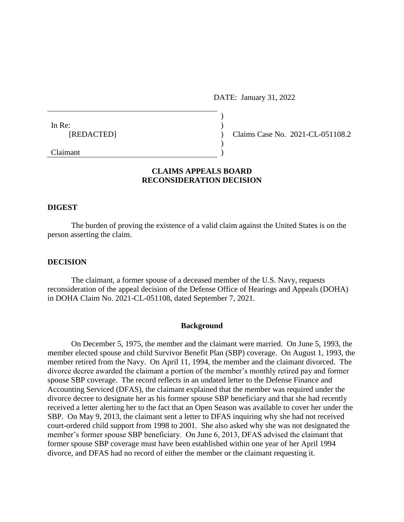DATE: January 31, 2022

| In Re:     |  |
|------------|--|
| [REDACTED] |  |
|            |  |
| Claimant   |  |

Claims Case No. 2021-CL-051108.2

# **CLAIMS APPEALS BOARD RECONSIDERATION DECISION**

### **DIGEST**

The burden of proving the existence of a valid claim against the United States is on the person asserting the claim.

### **DECISION**

The claimant, a former spouse of a deceased member of the U.S. Navy, requests reconsideration of the appeal decision of the Defense Office of Hearings and Appeals (DOHA) in DOHA Claim No. 2021-CL-051108, dated September 7, 2021.

#### **Background**

On December 5, 1975, the member and the claimant were married. On June 5, 1993, the member elected spouse and child Survivor Benefit Plan (SBP) coverage. On August 1, 1993, the member retired from the Navy. On April 11, 1994, the member and the claimant divorced. The divorce decree awarded the claimant a portion of the member's monthly retired pay and former spouse SBP coverage. The record reflects in an undated letter to the Defense Finance and Accounting Serviced (DFAS), the claimant explained that the member was required under the divorce decree to designate her as his former spouse SBP beneficiary and that she had recently received a letter alerting her to the fact that an Open Season was available to cover her under the SBP. On May 9, 2013, the claimant sent a letter to DFAS inquiring why she had not received court-ordered child support from 1998 to 2001. She also asked why she was not designated the member's former spouse SBP beneficiary. On June 6, 2013, DFAS advised the claimant that former spouse SBP coverage must have been established within one year of her April 1994 divorce, and DFAS had no record of either the member or the claimant requesting it.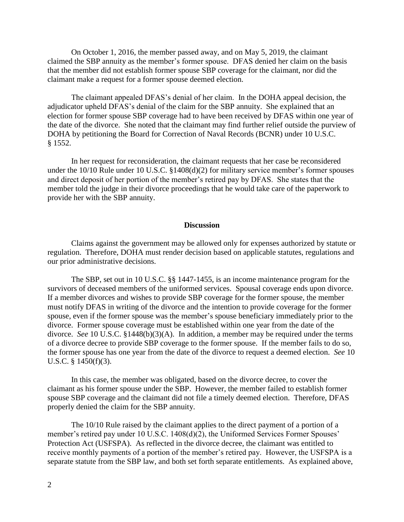On October 1, 2016, the member passed away, and on May 5, 2019, the claimant claimed the SBP annuity as the member's former spouse. DFAS denied her claim on the basis that the member did not establish former spouse SBP coverage for the claimant, nor did the claimant make a request for a former spouse deemed election.

The claimant appealed DFAS's denial of her claim. In the DOHA appeal decision, the adjudicator upheld DFAS's denial of the claim for the SBP annuity. She explained that an election for former spouse SBP coverage had to have been received by DFAS within one year of the date of the divorce. She noted that the claimant may find further relief outside the purview of DOHA by petitioning the Board for Correction of Naval Records (BCNR) under 10 U.S.C. § 1552.

In her request for reconsideration, the claimant requests that her case be reconsidered under the 10/10 Rule under 10 U.S.C. §1408(d)(2) for military service member's former spouses and direct deposit of her portion of the member's retired pay by DFAS. She states that the member told the judge in their divorce proceedings that he would take care of the paperwork to provide her with the SBP annuity.

## **Discussion**

Claims against the government may be allowed only for expenses authorized by statute or regulation. Therefore, DOHA must render decision based on applicable statutes, regulations and our prior administrative decisions.

The SBP, set out in 10 U.S.C. §§ 1447-1455, is an income maintenance program for the survivors of deceased members of the uniformed services. Spousal coverage ends upon divorce. If a member divorces and wishes to provide SBP coverage for the former spouse, the member must notify DFAS in writing of the divorce and the intention to provide coverage for the former spouse, even if the former spouse was the member's spouse beneficiary immediately prior to the divorce. Former spouse coverage must be established within one year from the date of the divorce. *See* 10 U.S.C. §1448(b)(3)(A). In addition, a member may be required under the terms of a divorce decree to provide SBP coverage to the former spouse. If the member fails to do so, the former spouse has one year from the date of the divorce to request a deemed election. *See* 10 U.S.C. § 1450(f)(3).

In this case, the member was obligated, based on the divorce decree, to cover the claimant as his former spouse under the SBP. However, the member failed to establish former spouse SBP coverage and the claimant did not file a timely deemed election. Therefore, DFAS properly denied the claim for the SBP annuity.

The 10/10 Rule raised by the claimant applies to the direct payment of a portion of a member's retired pay under 10 U.S.C. 1408(d)(2), the Uniformed Services Former Spouses' Protection Act (USFSPA). As reflected in the divorce decree, the claimant was entitled to receive monthly payments of a portion of the member's retired pay. However, the USFSPA is a separate statute from the SBP law, and both set forth separate entitlements. As explained above,